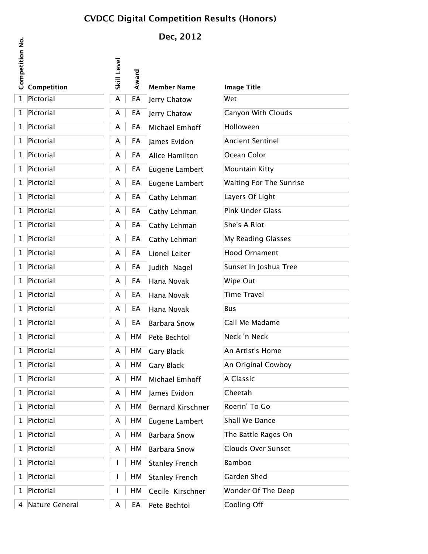### **CVDCC Digital Competition Results (Honors)**

**Dec, 2012**

| <b>Competition No.</b> | Competition      | Level<br>Skill | Award | <b>Member Name</b>    | <b>Image Title</b>             |
|------------------------|------------------|----------------|-------|-----------------------|--------------------------------|
|                        | 1 Pictorial      | A              | EA    | Jerry Chatow          | Wet                            |
|                        | 1 Pictorial      | A              | EA    | Jerry Chatow          | Canyon With Clouds             |
|                        | 1 Pictorial      | A              | EA    | Michael Emhoff        | Holloween                      |
|                        | 1 Pictorial      | A              | EA    | James Evidon          | <b>Ancient Sentinel</b>        |
|                        | 1 Pictorial      | A              | EA    | Alice Hamilton        | Ocean Color                    |
|                        | 1 Pictorial      | A              | EA    | Eugene Lambert        | Mountain Kitty                 |
|                        | 1 Pictorial      | A              | EA    | Eugene Lambert        | <b>Waiting For The Sunrise</b> |
|                        | 1 Pictorial      | A              | EA    | Cathy Lehman          | Layers Of Light                |
|                        | 1 Pictorial      | A              | EA    | Cathy Lehman          | Pink Under Glass               |
|                        | 1 Pictorial      | A              | EA    | Cathy Lehman          | She's A Riot                   |
|                        | 1 Pictorial      | A              | EA    | Cathy Lehman          | My Reading Glasses             |
|                        | 1 Pictorial      | A              | EA    | Lionel Leiter         | Hood Ornament                  |
|                        | 1 Pictorial      | A              | EA    | Judith Nagel          | Sunset In Joshua Tree          |
|                        | 1 Pictorial      | A              | EA    | Hana Novak            | Wipe Out                       |
|                        | 1 Pictorial      | A              | EA    | Hana Novak            | Time Travel                    |
|                        | 1 Pictorial      | A              | EA    | Hana Novak            | Bus                            |
|                        | 1 Pictorial      | A              | EA    | <b>Barbara Snow</b>   | Call Me Madame                 |
|                        | 1 Pictorial      | A              | HM    | Pete Bechtol          | Neck 'n Neck                   |
|                        | 1 Pictorial      | A              | HM    | Gary Black            | An Artist's Home               |
|                        | 1 Pictorial      | A              | HM    | <b>Gary Black</b>     | An Original Cowboy             |
|                        | 1 Pictorial      | A              | HМ    | Michael Emhoff        | A Classic                      |
|                        | 1 Pictorial      | A              | HМ    | James Evidon          | Cheetah                        |
|                        | 1 Pictorial      | A              | HM    | Bernard Kirschner     | Roerin' To Go                  |
|                        | 1 Pictorial      | A              | HМ    | Eugene Lambert        | Shall We Dance                 |
|                        | 1 Pictorial      | A              | HM    | <b>Barbara Snow</b>   | The Battle Rages On            |
|                        | 1 Pictorial      | A              | HM    | <b>Barbara Snow</b>   | Clouds Over Sunset             |
|                        | 1 Pictorial      |                | HМ    | <b>Stanley French</b> | Bamboo                         |
|                        | 1 Pictorial      |                | HМ    | <b>Stanley French</b> | Garden Shed                    |
|                        | 1 Pictorial      |                | HМ    | Cecile Kirschner      | Wonder Of The Deep             |
|                        | 4 Nature General | A              | EA    | Pete Bechtol          | Cooling Off                    |

| Wet | <b>Image Title</b>             |
|-----|--------------------------------|
|     | Canyon With Clouds             |
|     | Holloween                      |
|     | <b>Ancient Sentinel</b>        |
|     | Ocean Color                    |
|     |                                |
|     | Mountain Kitty                 |
|     | <b>Waiting For The Sunrise</b> |
|     | Layers Of Light                |
|     | <b>Pink Under Glass</b>        |
|     | She's A Riot                   |
|     | My Reading Glasses             |
|     | <b>Hood Ornament</b>           |
|     | Sunset In Joshua Tree          |
|     | Wipe Out                       |
|     | Time Travel                    |
| Bus |                                |
|     | Call Me Madame                 |
|     | Neck 'n Neck                   |
|     | An Artist's Home               |
|     | An Original Cowboy             |
|     | A Classic                      |
|     | Cheetah                        |
|     | Roerin' To Go                  |
|     | Shall We Dance                 |
|     | The Battle Rages On            |
|     | <b>Clouds Over Sunset</b>      |
|     | <b>Bamboo</b>                  |
|     | <b>Garden Shed</b>             |
|     | Wonder Of The Deep             |
|     | Cooling Off                    |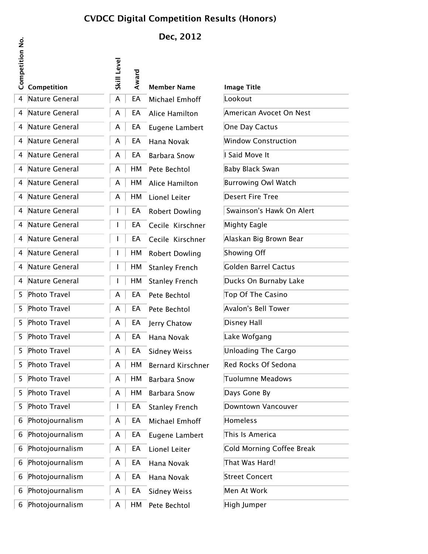### **CVDCC Digital Competition Results (Honors)**

# **Dec, 2012**

|                 |                   |                |       | DEL, LVIL             |                            |
|-----------------|-------------------|----------------|-------|-----------------------|----------------------------|
| Competition No. | Competition       | Level<br>Skill | Award | <b>Member Name</b>    | <b>Image Title</b>         |
|                 | 4 Nature General  | A              | EA    | Michael Emhoff        | Lookout                    |
|                 | 4 Nature General  | A              | EA    | Alice Hamilton        | American Avocet On Nest    |
|                 | 4 Nature General  | A              | EA    | Eugene Lambert        | One Day Cactus             |
|                 | 4 Nature General  | A              | EA    | Hana Novak            | <b>Window Construction</b> |
|                 | 4 Nature General  | A              | EA    | <b>Barbara Snow</b>   | I Said Move It             |
|                 | 4 Nature General  | A              | HМ    | Pete Bechtol          | Baby Black Swan            |
|                 | 4 Nature General  | A              | HM    | Alice Hamilton        | <b>Burrowing Owl Watch</b> |
|                 | 4 Nature General  | A              | HM    | Lionel Leiter         | <b>Desert Fire Tree</b>    |
|                 | 4 Nature General  |                | EA    | <b>Robert Dowling</b> | Swainson's Hawk On Alert   |
|                 | 4 Nature General  |                | EA    | Cecile Kirschner      | Mighty Eagle               |
|                 | 4 Nature General  |                | EA    | Cecile Kirschner      | Alaskan Big Brown Bear     |
|                 | 4 Nature General  |                | HМ    | <b>Robert Dowling</b> | Showing Off                |
|                 | 4 Nature General  |                | HМ    | <b>Stanley French</b> | Golden Barrel Cactus       |
|                 | 4 Nature General  |                | HМ    | <b>Stanley French</b> | Ducks On Burnaby Lake      |
|                 | 5 Photo Travel    | A              | EA    | Pete Bechtol          | Top Of The Casino          |
|                 | 5 Photo Travel    | A              | EA    | Pete Bechtol          | Avalon's Bell Tower        |
|                 | 5 Photo Travel    | A              | EA    | Jerry Chatow          | Disney Hall                |
|                 | 5 Photo Travel    | A              | EA    | Hana Novak            | Lake Wofgang               |
|                 | 5 Photo Travel    | A              | EA    | <b>Sidney Weiss</b>   | Unloading The Cargo        |
|                 | 5 Photo Travel    | A              | HМ    | Bernard Kirschner     | Red Rocks Of Sedona        |
|                 | 5 Photo Travel    | A              | HM    | <b>Barbara Snow</b>   | Tuolumne Meadows           |
|                 | 5 Photo Travel    | A              | HM    | <b>Barbara Snow</b>   | Days Gone By               |
|                 | 5 Photo Travel    |                | EA    | <b>Stanley French</b> | Downtown Vancouver         |
|                 | 6 Photojournalism | A              | EA    | Michael Emhoff        | Homeless                   |
|                 | 6 Photojournalism | A              | EA    | Eugene Lambert        | This Is America            |
|                 | 6 Photojournalism | A              | EA    | Lionel Leiter         | Cold Morning Coffee Break  |
|                 | 6 Photojournalism | A              | EA    | Hana Novak            | That Was Hard!             |
|                 | 6 Photojournalism | A              | EA    | Hana Novak            | <b>Street Concert</b>      |
|                 | 6 Photojournalism | A              | EA    | <b>Sidney Weiss</b>   | Men At Work                |
|                 | 6 Photojournalism | A              | HM    | Pete Bechtol          | High Jumper                |

 $\mathbf{\dot{g}}$ 

| Image Title                |
|----------------------------|
| Lookout                    |
| American Avocet On Nest    |
| One Day Cactus             |
|                            |
| <b>Window Construction</b> |
| I Said Move It             |
| <b>Baby Black Swan</b>     |
| <b>Burrowing Owl Watch</b> |
| <b>Desert Fire Tree</b>    |
| Swainson's Hawk On Alert   |
| Mighty Eagle               |
| Alaskan Big Brown Bear     |
| <b>Showing Off</b>         |
| Golden Barrel Cactus       |
| Ducks On Burnaby Lake      |
| Top Of The Casino          |
| Avalon's Bell Tower        |
| Disney Hall                |
| Lake Wofgang               |
| <b>Unloading The Cargo</b> |
| Red Rocks Of Sedona        |
| Tuolumne Meadows           |
| Days Gone By               |
| Downtown Vancouver         |
| Homeless                   |
| This Is America            |
| Cold Morning Coffee Break  |
| That Was Hard!             |
| <b>Street Concert</b>      |
| Men At Work                |
| High lumner                |